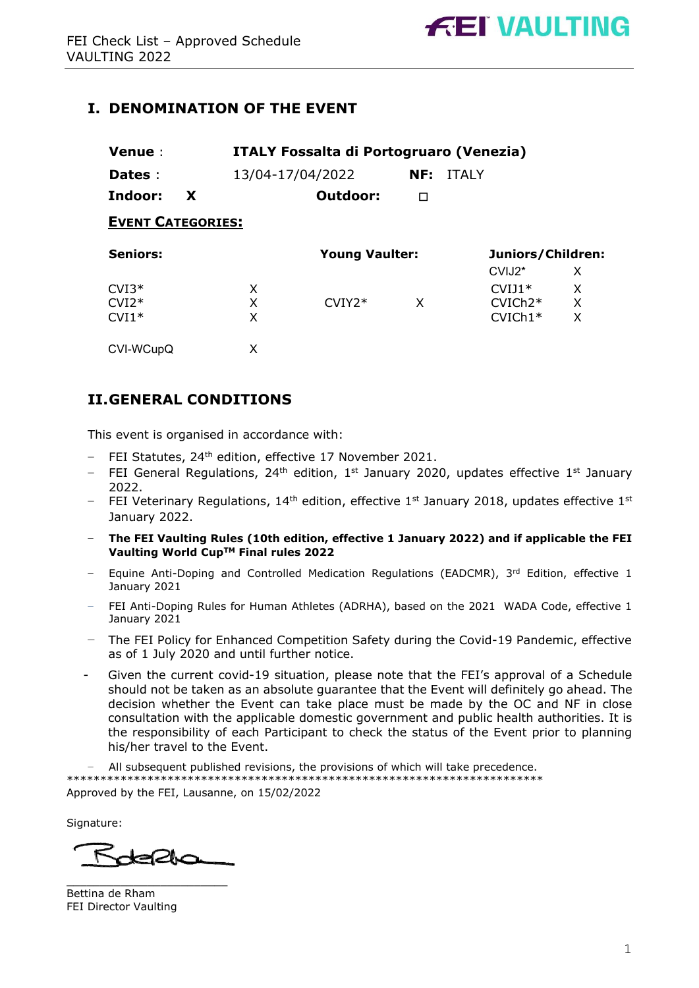# **I. DENOMINATION OF THE EVENT**

| Venue:                   |   | <b>ITALY Fossalta di Portogruaro (Venezia)</b> |                       |     |              |                                |   |
|--------------------------|---|------------------------------------------------|-----------------------|-----|--------------|--------------------------------|---|
| Dates :                  |   | 13/04-17/04/2022                               |                       | NF: | <b>ITALY</b> |                                |   |
| Indoor:                  | X |                                                | Outdoor:              | п   |              |                                |   |
| <b>EVENT CATEGORIES:</b> |   |                                                |                       |     |              |                                |   |
| <b>Seniors:</b>          |   |                                                | <b>Young Vaulter:</b> |     |              | Juniors/Children:              |   |
|                          |   |                                                |                       |     |              | CVIJ <sub>2</sub> <sup>*</sup> | X |
| $CVI3*$                  |   | X                                              |                       |     |              | $CVI11*$                       | X |
| $CVI2*$                  |   | X                                              | $CVIY2*$              | X   |              | $CVICh2*$                      | X |
| $CVI1*$                  |   | X                                              |                       |     |              | $CVICh1*$                      | X |
| CVI-WCupQ                |   | X                                              |                       |     |              |                                |   |

# **II.GENERAL CONDITIONS**

This event is organised in accordance with:

- − FEI Statutes, 24th edition, effective 17 November 2021.
- − FEI General Regulations, 24th edition, 1st January 2020, updates effective 1st January 2022.
- FEI Veterinary Regulations, 14<sup>th</sup> edition, effective 1<sup>st</sup> January 2018, updates effective 1<sup>st</sup> January 2022.
- − **The FEI Vaulting Rules (10th edition, effective 1 January 2022) and if applicable the FEI Vaulting World CupTM Final rules 2022**
- Equine Anti-Doping and Controlled Medication Regulations (EADCMR), 3rd Edition, effective 1 January 2021
- − FEI Anti-Doping Rules for Human Athletes (ADRHA), based on the 2021 WADA Code, effective 1 January 2021
- − The FEI Policy for Enhanced Competition Safety during the Covid-19 Pandemic, effective as of 1 July 2020 and until further notice.
- Given the current covid-19 situation, please note that the FEI's approval of a Schedule should not be taken as an absolute guarantee that the Event will definitely go ahead. The decision whether the Event can take place must be made by the OC and NF in close consultation with the applicable domestic government and public health authorities. It is the responsibility of each Participant to check the status of the Event prior to planning his/her travel to the Event.

− All subsequent published revisions, the provisions of which will take precedence. \*\*\*\*\*\*\*\*\*\*\*\*\*\*\*\*\*\*\*\*\*\*\*\*\*\*\*\*\*\*\*\*\*\*\*\*\*\*\*\*\*\*\*\*\*\*\*\*\*\*\*\*\*\*\*\*\*\*\*\*\*\*\*\*\*\*\*\*\*\*\* Approved by the FEI, Lausanne, on 15/02/2022

Signature:

 $\lt$ der2han

 $\overline{\phantom{a}}$  , where  $\overline{\phantom{a}}$  , where  $\overline{\phantom{a}}$  , where  $\overline{\phantom{a}}$ 

Bettina de Rham FEI Director Vaulting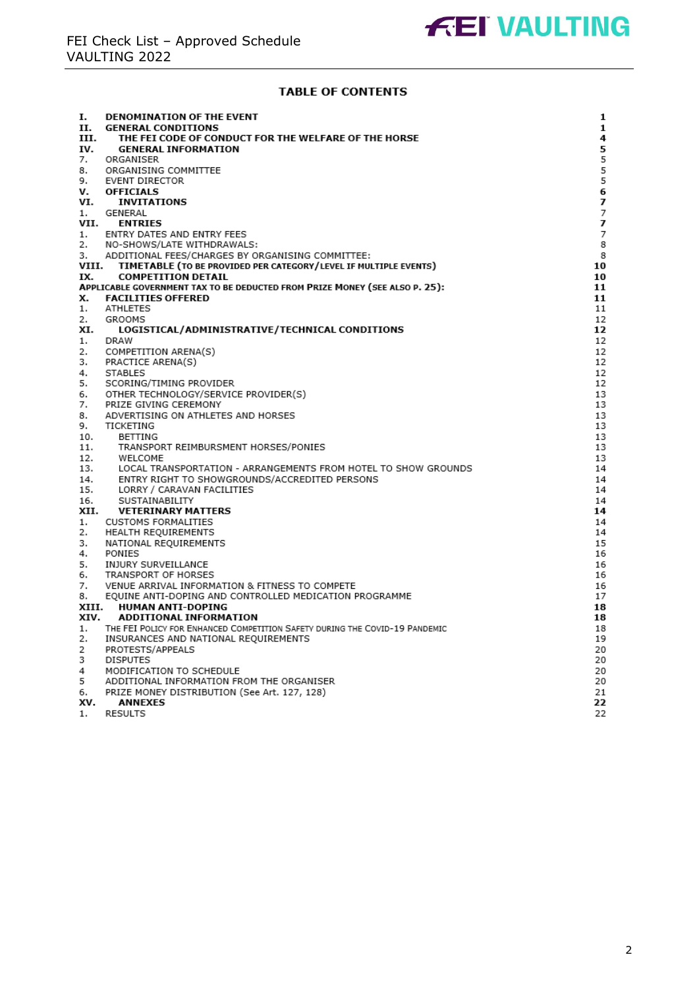#### **TABLE OF CONTENTS**

| Ι.       | <b>DENOMINATION OF THE EVENT</b>                                            | 1  |
|----------|-----------------------------------------------------------------------------|----|
| п.       | <b>GENERAL CONDITIONS</b>                                                   | 1  |
| ш.       | THE FEI CODE OF CONDUCT FOR THE WELFARE OF THE HORSE                        | 4  |
| IV.      | <b>GENERAL INFORMATION</b>                                                  | 5  |
| 7.       | ORGANISER                                                                   | 5  |
| 8.       | ORGANISING COMMITTEE                                                        | 5  |
| 9.       | EVENT DIRECTOR                                                              | 5  |
| ν.       | <b>OFFICIALS</b>                                                            | 6  |
| VI.      | <b>INVITATIONS</b>                                                          | 7  |
| 1.       | GENERAL                                                                     | 7  |
| VII.     | <b>ENTRIES</b>                                                              | 7  |
| 1.       | ENTRY DATES AND ENTRY FEES                                                  | 7  |
| 2.       | NO-SHOWS/LATE WITHDRAWALS:                                                  | 8  |
| з.       | ADDITIONAL FEES/CHARGES BY ORGANISING COMMITTEE:                            | 8  |
| VIII.    | TIMETABLE (TO BE PROVIDED PER CATEGORY/LEVEL IF MULTIPLE EVENTS)            | 10 |
| IX.      | <b>COMPETITION DETAIL</b>                                                   | 10 |
|          | APPLICABLE GOVERNMENT TAX TO BE DEDUCTED FROM PRIZE MONEY (SEE ALSO P. 25): | 11 |
| х.       | <b>FACILITIES OFFERED</b>                                                   | 11 |
| 1.       | ATHLETES                                                                    | 11 |
| 2.       | GROOMS                                                                      | 12 |
| XI.      | LOGISTICAL/ADMINISTRATIVE/TECHNICAL CONDITIONS                              | 12 |
| 1.       | DRAW                                                                        | 12 |
| 2.       |                                                                             | 12 |
| з.       | COMPETITION ARENA(S)                                                        | 12 |
|          | PRACTICE ARENA(S)<br><b>STABLES</b>                                         | 12 |
| 4.<br>5. |                                                                             | 12 |
|          | SCORING/TIMING PROVIDER                                                     |    |
| 6.       | OTHER TECHNOLOGY/SERVICE PROVIDER(S)                                        | 13 |
| 7.       | PRIZE GIVING CEREMONY                                                       | 13 |
| 8.       | ADVERTISING ON ATHLETES AND HORSES                                          | 13 |
| 9.       | TICKETING                                                                   | 13 |
| 10.      | BETTING                                                                     | 13 |
| 11.      | TRANSPORT REIMBURSMENT HORSES/PONIES                                        | 13 |
| 12.      | WELCOME                                                                     | 13 |
| 13.      | LOCAL TRANSPORTATION - ARRANGEMENTS FROM HOTEL TO SHOW GROUNDS              | 14 |
| 14.      | ENTRY RIGHT TO SHOWGROUNDS/ACCREDITED PERSONS                               | 14 |
| 15.      | LORRY / CARAVAN FACILITIES                                                  | 14 |
| 16.      | SUSTAINABILITY                                                              | 14 |
| XII.     | <b>VETERINARY MATTERS</b>                                                   | 14 |
| 1.       | <b>CUSTOMS FORMALITIES</b>                                                  | 14 |
| 2.       | HEALTH REQUIREMENTS                                                         | 14 |
| з.       | NATIONAL REQUIREMENTS                                                       | 15 |
| 4.       | PONIES                                                                      | 16 |
| 5.       | INJURY SURVEILLANCE                                                         | 16 |
| 6.       | TRANSPORT OF HORSES                                                         | 16 |
| 7.       | VENUE ARRIVAL INFORMATION & FITNESS TO COMPETE                              | 16 |
| 8.       | EQUINE ANTI-DOPING AND CONTROLLED MEDICATION PROGRAMME                      | 17 |
| XIII.    | <b>HUMAN ANTI-DOPING</b>                                                    | 18 |
| XIV.     | <b>ADDITIONAL INFORMATION</b>                                               | 18 |
| 1.       | THE FEI POLICY FOR ENHANCED COMPETITION SAFETY DURING THE COVID-19 PANDEMIC | 18 |
| 2.       | INSURANCES AND NATIONAL REQUIREMENTS                                        | 19 |
| 2        | PROTESTS/APPEALS                                                            | 20 |
| з        | <b>DISPUTES</b>                                                             | 20 |
| 4        | MODIFICATION TO SCHEDULE                                                    | 20 |
| 5        | ADDITIONAL INFORMATION FROM THE ORGANISER                                   | 20 |
| 6.       | PRIZE MONEY DISTRIBUTION (See Art. 127, 128)                                | 21 |
| XV.      | <b>ANNEXES</b>                                                              | 22 |
| 1.       | <b>RESULTS</b>                                                              | 22 |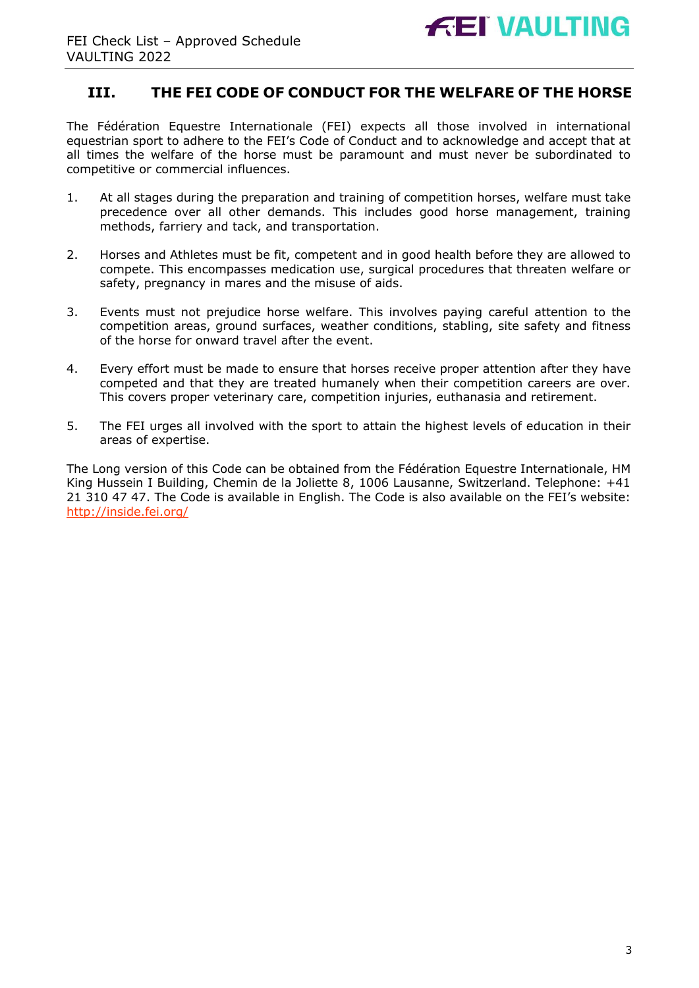

# **III. THE FEI CODE OF CONDUCT FOR THE WELFARE OF THE HORSE**

The Fédération Equestre Internationale (FEI) expects all those involved in international equestrian sport to adhere to the FEI's Code of Conduct and to acknowledge and accept that at all times the welfare of the horse must be paramount and must never be subordinated to competitive or commercial influences.

- 1. At all stages during the preparation and training of competition horses, welfare must take precedence over all other demands. This includes good horse management, training methods, farriery and tack, and transportation.
- 2. Horses and Athletes must be fit, competent and in good health before they are allowed to compete. This encompasses medication use, surgical procedures that threaten welfare or safety, pregnancy in mares and the misuse of aids.
- 3. Events must not prejudice horse welfare. This involves paying careful attention to the competition areas, ground surfaces, weather conditions, stabling, site safety and fitness of the horse for onward travel after the event.
- 4. Every effort must be made to ensure that horses receive proper attention after they have competed and that they are treated humanely when their competition careers are over. This covers proper veterinary care, competition injuries, euthanasia and retirement.
- 5. The FEI urges all involved with the sport to attain the highest levels of education in their areas of expertise.

The Long version of this Code can be obtained from the Fédération Equestre Internationale, HM King Hussein I Building, Chemin de la Joliette 8, 1006 Lausanne, Switzerland. Telephone: +41 21 310 47 47. The Code is available in English. The Code is also available on the FEI's website: http://inside.fei.org/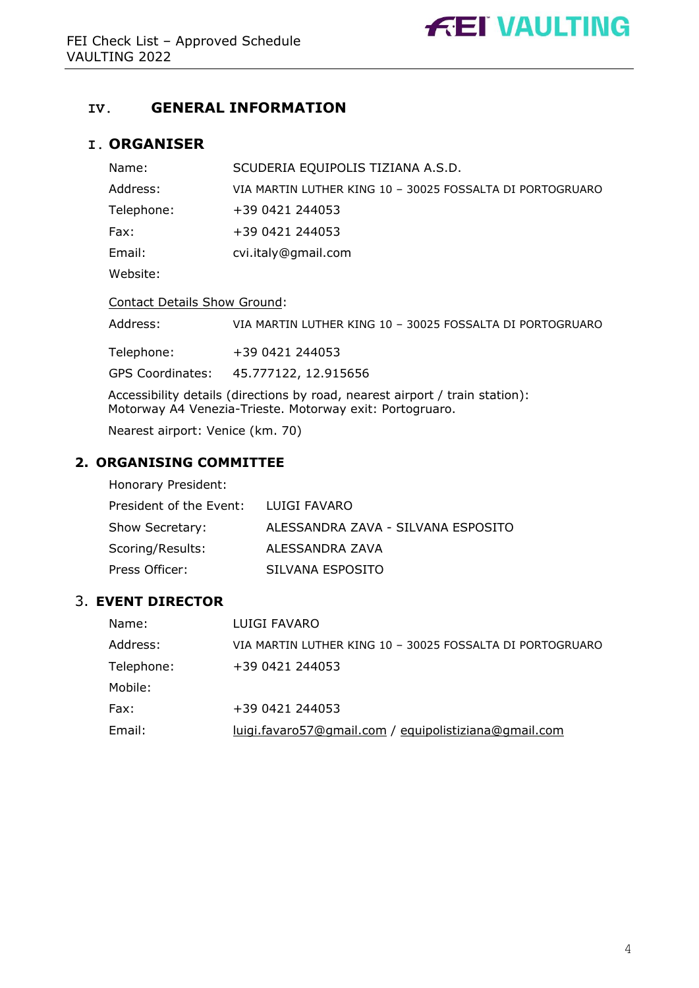

# **IV. GENERAL INFORMATION**

### **I. ORGANISER**

| Name:                                                                                                                                    | SCUDERIA EQUIPOLIS TIZIANA A.S.D.                         |  |  |
|------------------------------------------------------------------------------------------------------------------------------------------|-----------------------------------------------------------|--|--|
| Address:                                                                                                                                 | VIA MARTIN LUTHER KING 10 - 30025 FOSSALTA DI PORTOGRUARO |  |  |
| Telephone:                                                                                                                               | +39 0421 244053                                           |  |  |
| Fax:                                                                                                                                     | +39 0421 244053                                           |  |  |
| Email:                                                                                                                                   | cvi.italy@gmail.com                                       |  |  |
| Website:                                                                                                                                 |                                                           |  |  |
| <b>Contact Details Show Ground:</b>                                                                                                      |                                                           |  |  |
| Address:                                                                                                                                 | VIA MARTIN LUTHER KING 10 - 30025 FOSSALTA DI PORTOGRUARO |  |  |
| Telephone:                                                                                                                               | +39 0421 244053                                           |  |  |
| <b>GPS Coordinates:</b>                                                                                                                  | 45.777122, 12.915656                                      |  |  |
| Accessibility details (directions by road, nearest airport / train station):<br>Motorway A4 Venezia-Trieste. Motorway exit: Portogruaro. |                                                           |  |  |

Nearest airport: Venice (km. 70)

# **2. ORGANISING COMMITTEE**

| Honorary President:     |                                    |
|-------------------------|------------------------------------|
| President of the Event: | LUIGI FAVARO                       |
| Show Secretary:         | ALESSANDRA ZAVA - SILVANA ESPOSITO |
| Scoring/Results:        | ALESSANDRA ZAVA                    |
| Press Officer:          | SILVANA ESPOSITO                   |

### 3. **EVENT DIRECTOR**

| Name:      | LUIGI FAVARO                                              |
|------------|-----------------------------------------------------------|
| Address:   | VIA MARTIN LUTHER KING 10 - 30025 FOSSALTA DI PORTOGRUARO |
| Telephone: | +39 0421 244053                                           |
| Mobile:    |                                                           |
| Fax:       | +39 0421 244053                                           |
| Email:     | luigi.favaro57@gmail.com / equipolistiziana@gmail.com     |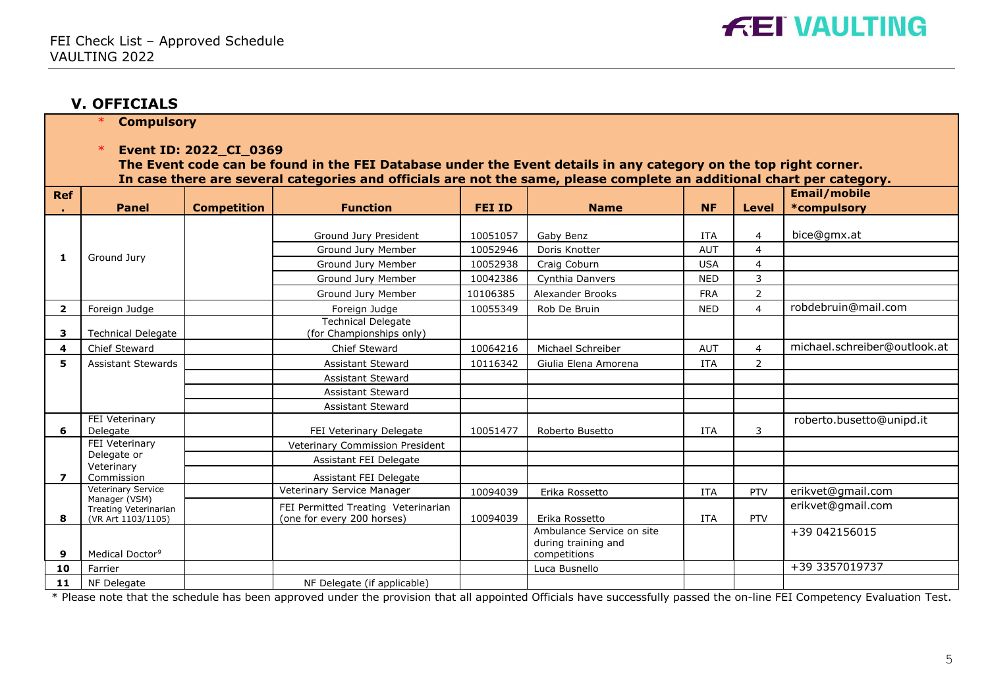

#### **V. OFFICIALS**

\* **Compulsory**

\* **Event ID: 2022\_CI\_0369**

**The Event code can be found in the FEI Database under the Event details in any category on the top right corner. In case there are several categories and officials are not the same, please complete an additional chart per category.**

| <b>Ref</b>              | <b>Panel</b>                                                 | <b>Competition</b> | <b>Function</b>                                                   | <b>FEI ID</b> | <b>Name</b>                                                      | <b>NF</b>  | <b>Level</b>   | Email/mobile<br>*compulsory  |
|-------------------------|--------------------------------------------------------------|--------------------|-------------------------------------------------------------------|---------------|------------------------------------------------------------------|------------|----------------|------------------------------|
|                         |                                                              |                    | Ground Jury President                                             | 10051057      | Gaby Benz                                                        | <b>ITA</b> | $\overline{4}$ | bice@gmx.at                  |
|                         |                                                              |                    | Ground Jury Member                                                | 10052946      | Doris Knotter                                                    | <b>AUT</b> | $\overline{4}$ |                              |
| 1                       | Ground Jury                                                  |                    | Ground Jury Member                                                | 10052938      | Craig Coburn                                                     | <b>USA</b> | $\overline{4}$ |                              |
|                         |                                                              |                    | Ground Jury Member                                                | 10042386      | Cynthia Danvers                                                  | <b>NED</b> | 3              |                              |
|                         |                                                              |                    | Ground Jury Member                                                | 10106385      | <b>Alexander Brooks</b>                                          | <b>FRA</b> | 2              |                              |
| $\overline{\mathbf{2}}$ | Foreign Judge                                                |                    | Foreign Judge                                                     | 10055349      | Rob De Bruin                                                     | <b>NED</b> | $\overline{4}$ | robdebruin@mail.com          |
| з                       | <b>Technical Delegate</b>                                    |                    | <b>Technical Delegate</b><br>(for Championships only)             |               |                                                                  |            |                |                              |
| 4                       | Chief Steward                                                |                    | Chief Steward                                                     | 10064216      | Michael Schreiber                                                | <b>AUT</b> | $\overline{4}$ | michael.schreiber@outlook.at |
| 5                       | <b>Assistant Stewards</b>                                    |                    | <b>Assistant Steward</b>                                          | 10116342      | Giulia Elena Amorena                                             | <b>ITA</b> | 2              |                              |
|                         |                                                              |                    | <b>Assistant Steward</b>                                          |               |                                                                  |            |                |                              |
|                         |                                                              |                    | <b>Assistant Steward</b>                                          |               |                                                                  |            |                |                              |
|                         |                                                              |                    | <b>Assistant Steward</b>                                          |               |                                                                  |            |                |                              |
| 6                       | FEI Veterinary<br>Delegate                                   |                    | FEI Veterinary Delegate                                           | 10051477      | Roberto Busetto                                                  | <b>ITA</b> | 3              | roberto.busetto@unipd.it     |
|                         | FEI Veterinary                                               |                    | Veterinary Commission President                                   |               |                                                                  |            |                |                              |
|                         | Delegate or<br>Veterinary                                    |                    | Assistant FEI Delegate                                            |               |                                                                  |            |                |                              |
| $\overline{\mathbf{z}}$ | Commission                                                   |                    | Assistant FEI Delegate                                            |               |                                                                  |            |                |                              |
|                         | <b>Veterinary Service</b>                                    |                    | Veterinary Service Manager                                        | 10094039      | Erika Rossetto                                                   | <b>ITA</b> | PTV            | erikvet@gmail.com            |
| 8                       | Manager (VSM)<br>Treating Veterinarian<br>(VR Art 1103/1105) |                    | FEI Permitted Treating Veterinarian<br>(one for every 200 horses) | 10094039      | Erika Rossetto                                                   | <b>ITA</b> | <b>PTV</b>     | erikvet@gmail.com            |
| 9                       | Medical Doctor <sup>9</sup>                                  |                    |                                                                   |               | Ambulance Service on site<br>during training and<br>competitions |            |                | +39 042156015                |
| 10                      | Farrier                                                      |                    |                                                                   |               | Luca Busnello                                                    |            |                | +39 3357019737               |
| 11                      | NF Delegate                                                  |                    | NF Delegate (if applicable)                                       |               |                                                                  |            |                |                              |

\* Please note that the schedule has been approved under the provision that all appointed Officials have successfully passed the on-line FEI Competency Evaluation Test.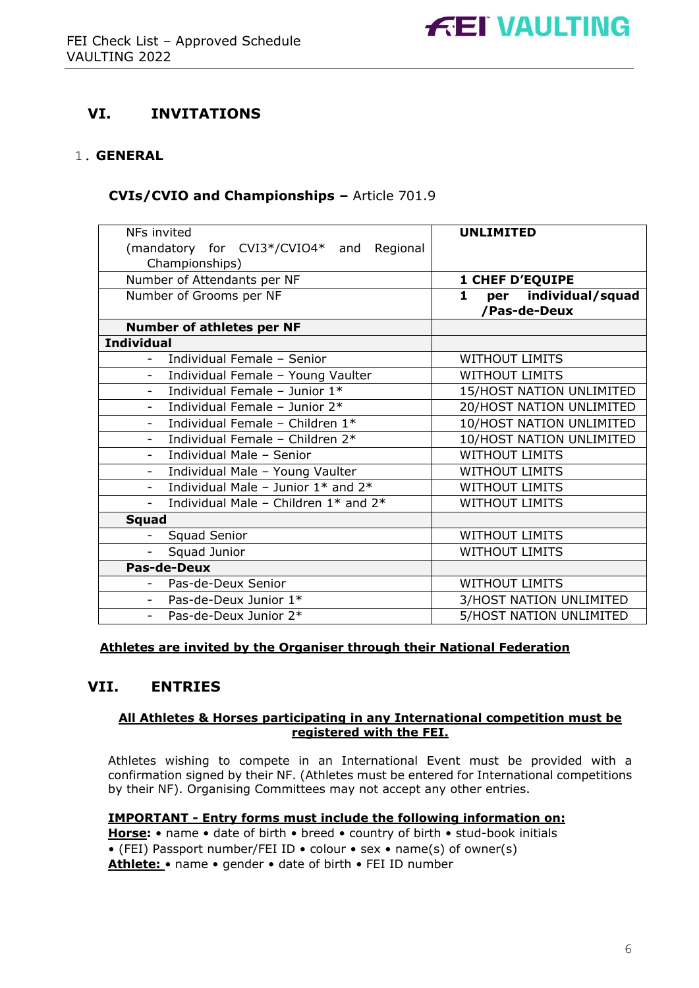

# **VI. INVITATIONS**

#### 1. **GENERAL**

#### **CVIs/CVIO and Championships –** Article 701.9

| NFs invited                                                      | <b>UNLIMITED</b>                     |
|------------------------------------------------------------------|--------------------------------------|
| (mandatory for CVI3*/CVIO4* and<br>Regional                      |                                      |
| Championships)                                                   |                                      |
| Number of Attendants per NF                                      | <b>1 CHEF D'EQUIPE</b>               |
| Number of Grooms per NF                                          | per individual/squad<br>$\mathbf{1}$ |
|                                                                  | /Pas-de-Deux                         |
| <b>Number of athletes per NF</b>                                 |                                      |
| <b>Individual</b>                                                |                                      |
| Individual Female - Senior                                       | <b>WITHOUT LIMITS</b>                |
| Individual Female - Young Vaulter<br>$\overline{\phantom{a}}$    | <b>WITHOUT LIMITS</b>                |
| Individual Female - Junior 1*                                    | 15/HOST NATION UNLIMITED             |
| Individual Female - Junior $2^*$<br>$\overline{\phantom{a}}$     | 20/HOST NATION UNLIMITED             |
| Individual Female - Children 1*<br>$\blacksquare$                | 10/HOST NATION UNLIMITED             |
| Individual Female - Children 2*                                  | 10/HOST NATION UNLIMITED             |
| Individual Male - Senior<br>$\overline{\phantom{a}}$             | <b>WITHOUT LIMITS</b>                |
| Individual Male - Young Vaulter<br>$\overline{\phantom{a}}$      | <b>WITHOUT LIMITS</b>                |
| Individual Male - Junior $1*$ and $2*$                           | <b>WITHOUT LIMITS</b>                |
| Individual Male - Children 1* and 2*<br>$\overline{\phantom{a}}$ | <b>WITHOUT LIMITS</b>                |
| <b>Squad</b>                                                     |                                      |
| Squad Senior                                                     | <b>WITHOUT LIMITS</b>                |
| Squad Junior                                                     | <b>WITHOUT LIMITS</b>                |
| <b>Pas-de-Deux</b>                                               |                                      |
| Pas-de-Deux Senior                                               | <b>WITHOUT LIMITS</b>                |
| Pas-de-Deux Junior 1*                                            | 3/HOST NATION UNLIMITED              |
| Pas-de-Deux Junior 2*                                            | 5/HOST NATION UNLIMITED              |

#### **Athletes are invited by the Organiser through their National Federation**

## **VII. ENTRIES**

#### **All Athletes & Horses participating in any International competition must be registered with the FEI.**

Athletes wishing to compete in an International Event must be provided with a confirmation signed by their NF. (Athletes must be entered for International competitions by their NF). Organising Committees may not accept any other entries.

#### **IMPORTANT - Entry forms must include the following information on:**

**Horse:** • name • date of birth • breed • country of birth • stud-book initials • (FEI) Passport number/FEI ID • colour • sex • name(s) of owner(s) **Athlete:** • name • gender • date of birth • FEI ID number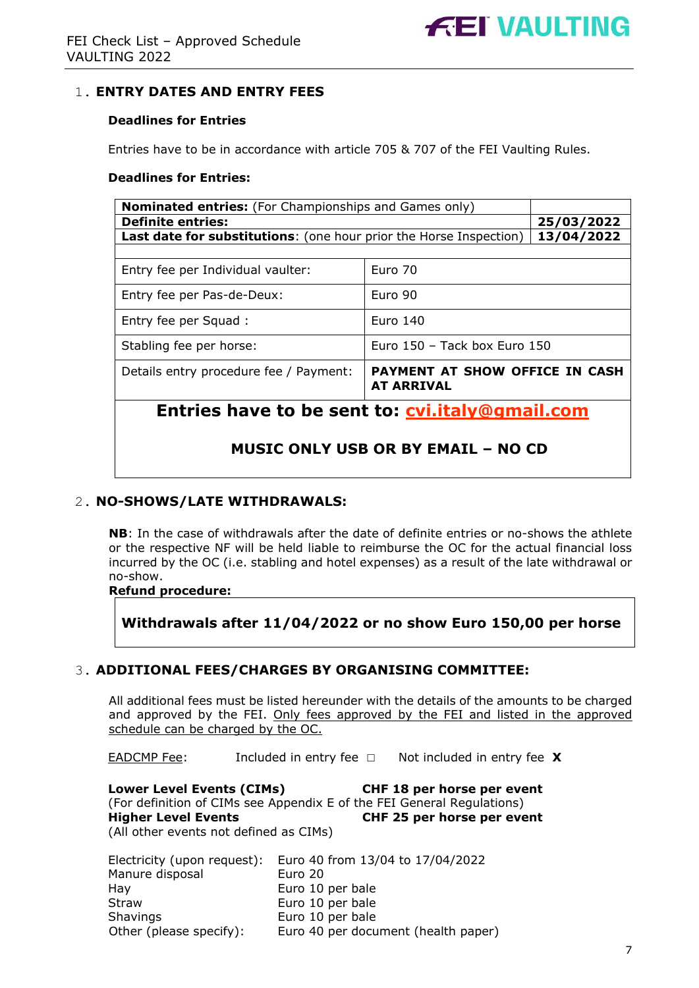## 1. **ENTRY DATES AND ENTRY FEES**

#### **Deadlines for Entries**

Entries have to be in accordance with article 705 & 707 of the FEI Vaulting Rules.

#### **Deadlines for Entries:**

| <b>Nominated entries:</b> (For Championships and Games only)                                         |  |            |  |  |
|------------------------------------------------------------------------------------------------------|--|------------|--|--|
| <b>Definite entries:</b>                                                                             |  | 25/03/2022 |  |  |
| <b>Last date for substitutions:</b> (one hour prior the Horse Inspection)                            |  | 13/04/2022 |  |  |
|                                                                                                      |  |            |  |  |
| Entry fee per Individual vaulter:                                                                    |  |            |  |  |
| Euro 90<br>Entry fee per Pas-de-Deux:                                                                |  |            |  |  |
| Euro 140<br>Entry fee per Squad:                                                                     |  |            |  |  |
| Euro $150 -$ Tack box Euro $150$<br>Stabling fee per horse:                                          |  |            |  |  |
| <b>PAYMENT AT SHOW OFFICE IN CASH</b><br>Details entry procedure fee / Payment:<br><b>AT ARRIVAL</b> |  |            |  |  |
| Entries have to be sent to: cvi.italy@gmail.com                                                      |  |            |  |  |
| <b>MUSIC ONLY USB OR BY EMAIL - NO CD</b>                                                            |  |            |  |  |

#### 2. **NO-SHOWS/LATE WITHDRAWALS:**

**NB**: In the case of withdrawals after the date of definite entries or no-shows the athlete or the respective NF will be held liable to reimburse the OC for the actual financial loss incurred by the OC (i.e. stabling and hotel expenses) as a result of the late withdrawal or no-show.

#### **Refund procedure:**

**Withdrawals after 11/04/2022 or no show Euro 150,00 per horse** 

## 3. **ADDITIONAL FEES/CHARGES BY ORGANISING COMMITTEE:**

All additional fees must be listed hereunder with the details of the amounts to be charged and approved by the FEI. Only fees approved by the FEI and listed in the approved schedule can be charged by the OC.

EADCMP Fee: Included in entry fee ☐Not included in entry fee **X**

**Lower Level Events (CIMs) CHF 18 per horse per event** (For definition of CIMs see Appendix E of the FEI General Regulations) **Higher Level Events CHF 25 per horse per event** (All other events not defined as CIMs)

| Electricity (upon request): | Euro 40 from 13/04 to 17/04/2022    |
|-----------------------------|-------------------------------------|
| Manure disposal             | Euro 20                             |
| Hay                         | Euro 10 per bale                    |
| <b>Straw</b>                | Euro 10 per bale                    |
| <b>Shavings</b>             | Euro 10 per bale                    |
| Other (please specify):     | Euro 40 per document (health paper) |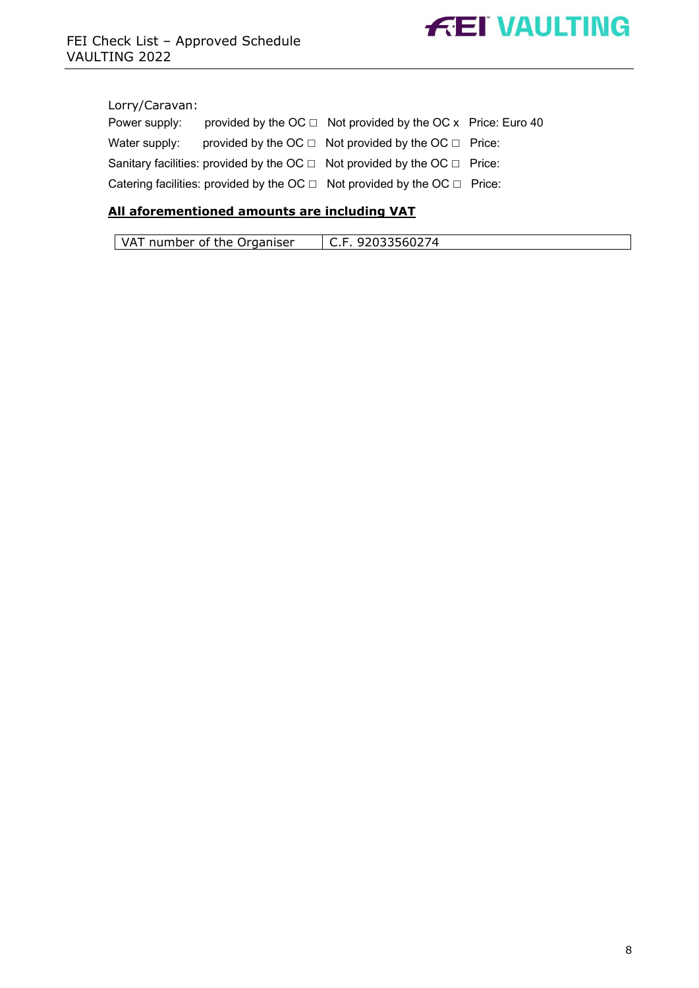

#### Lorry/Caravan:

| Power supply: | provided by the $OC \square$ Not provided by the OC x Price: Euro 40                |  |
|---------------|-------------------------------------------------------------------------------------|--|
| Water supply: | provided by the OC $\Box$ Not provided by the OC $\Box$ Price:                      |  |
|               | Sanitary facilities: provided by the OC $\Box$ Not provided by the OC $\Box$ Price: |  |
|               | Catering facilities: provided by the OC $\Box$ Not provided by the OC $\Box$ Price: |  |

# **All aforementioned amounts are including VAT**

| VAT number of the Organiser | C.F. 92033560274 |
|-----------------------------|------------------|
|-----------------------------|------------------|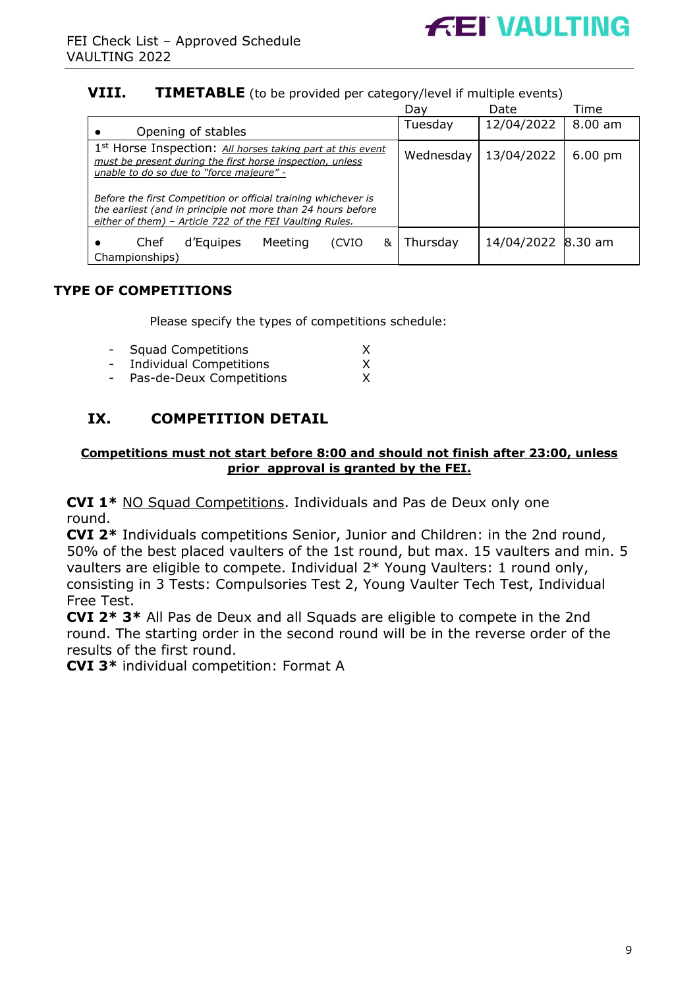

# **VIII. TIMETABLE** (to be provided per category/level if multiple events)

|                                                                                                                                                                                            | Dav       | Date               | Time              |
|--------------------------------------------------------------------------------------------------------------------------------------------------------------------------------------------|-----------|--------------------|-------------------|
| Opening of stables                                                                                                                                                                         | Tuesday   | 12/04/2022         | $8.00$ am         |
| 1 <sup>st</sup> Horse Inspection: All horses taking part at this event<br>must be present during the first horse inspection, unless<br>unable to do so due to "force majeure" -            | Wednesday | 13/04/2022         | $6.00 \text{ pm}$ |
| Before the first Competition or official training whichever is<br>the earliest (and in principle not more than 24 hours before<br>either of them) - Article 722 of the FEI Vaulting Rules. |           |                    |                   |
| d'Equipes<br>Meeting<br>Chef<br>(CVIO<br>&<br>Championships)                                                                                                                               | Thursday  | 14/04/2022 8.30 am |                   |

# **TYPE OF COMPETITIONS**

Please specify the types of competitions schedule:

| $\sim$ | <b>Squad Competitions</b>      |   |
|--------|--------------------------------|---|
| $\sim$ | <b>Individual Competitions</b> | X |
| $\sim$ | Pas-de-Deux Competitions       |   |

# **IX. COMPETITION DETAIL**

#### **Competitions must not start before 8:00 and should not finish after 23:00, unless prior approval is granted by the FEI.**

**CVI 1\*** NO Squad Competitions. Individuals and Pas de Deux only one round.

**CVI 2\*** Individuals competitions Senior, Junior and Children: in the 2nd round, 50% of the best placed vaulters of the 1st round, but max. 15 vaulters and min. 5 vaulters are eligible to compete. Individual 2\* Young Vaulters: 1 round only, consisting in 3 Tests: Compulsories Test 2, Young Vaulter Tech Test, Individual Free Test.

**CVI 2\* 3\*** All Pas de Deux and all Squads are eligible to compete in the 2nd round. The starting order in the second round will be in the reverse order of the results of the first round.

**CVI 3\*** individual competition: Format A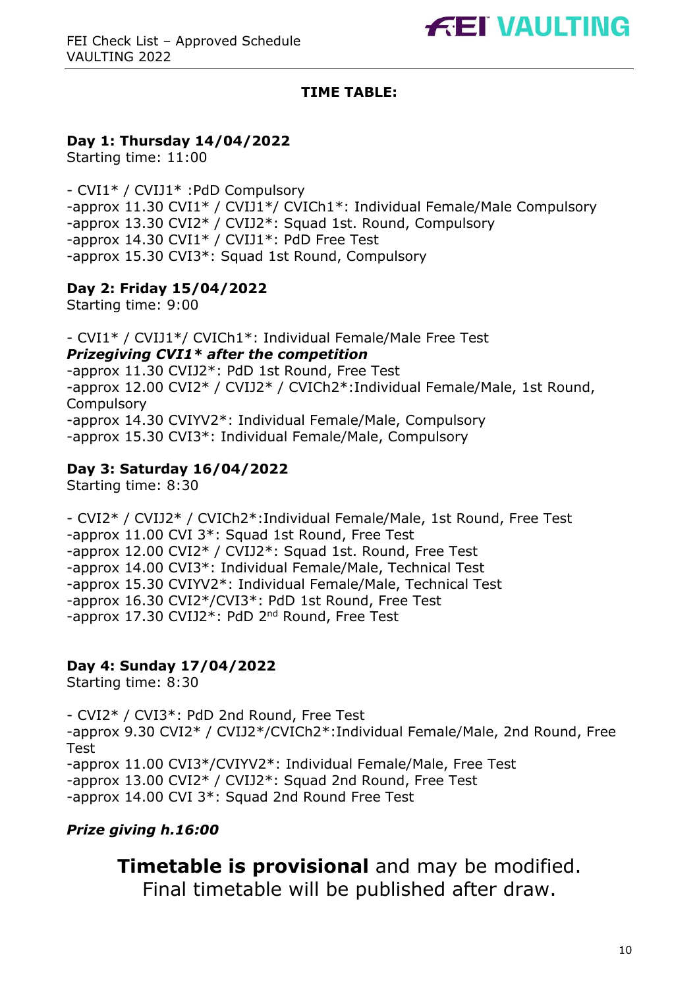# **TIME TABLE:**

# **Day 1: Thursday 14/04/2022**

Starting time: 11:00

- CVI1\* / CVIJ1\* :PdD Compulsory -approx 11.30 CVI1\* / CVIJ1\*/ CVICh1\*: Individual Female/Male Compulsory -approx 13.30 CVI2\* / CVIJ2\*: Squad 1st. Round, Compulsory -approx 14.30 CVI1\* / CVIJ1\*: PdD Free Test -approx 15.30 CVI3\*: Squad 1st Round, Compulsory

# **Day 2: Friday 15/04/2022**

Starting time: 9:00

- CVI1\* / CVIJ1\*/ CVICh1\*: Individual Female/Male Free Test *Prizegiving CVI1\* after the competition* -approx 11.30 CVIJ2\*: PdD 1st Round, Free Test -approx 12.00 CVI2\* / CVIJ2\* / CVICh2\*:Individual Female/Male, 1st Round, **Compulsory** -approx 14.30 CVIYV2\*: Individual Female/Male, Compulsory -approx 15.30 CVI3\*: Individual Female/Male, Compulsory

# **Day 3: Saturday 16/04/2022**

Starting time: 8:30

- CVI2\* / CVIJ2\* / CVICh2\*:Individual Female/Male, 1st Round, Free Test -approx 11.00 CVI 3\*: Squad 1st Round, Free Test -approx 12.00 CVI2\* / CVIJ2\*: Squad 1st. Round, Free Test -approx 14.00 CVI3\*: Individual Female/Male, Technical Test -approx 15.30 CVIYV2\*: Individual Female/Male, Technical Test -approx 16.30 CVI2\*/CVI3\*: PdD 1st Round, Free Test -approx 17.30 CVIJ2\*: PdD 2nd Round, Free Test

# **Day 4: Sunday 17/04/2022**

Starting time: 8:30

- CVI2\* / CVI3\*: PdD 2nd Round, Free Test -approx 9.30 CVI2\* / CVIJ2\*/CVICh2\*:Individual Female/Male, 2nd Round, Free Test -approx 11.00 CVI3\*/CVIYV2\*: Individual Female/Male, Free Test -approx 13.00 CVI2\* / CVIJ2\*: Squad 2nd Round, Free Test -approx 14.00 CVI 3\*: Squad 2nd Round Free Test

# *Prize giving h.16:00*

**Timetable is provisional** and may be modified. Final timetable will be published after draw.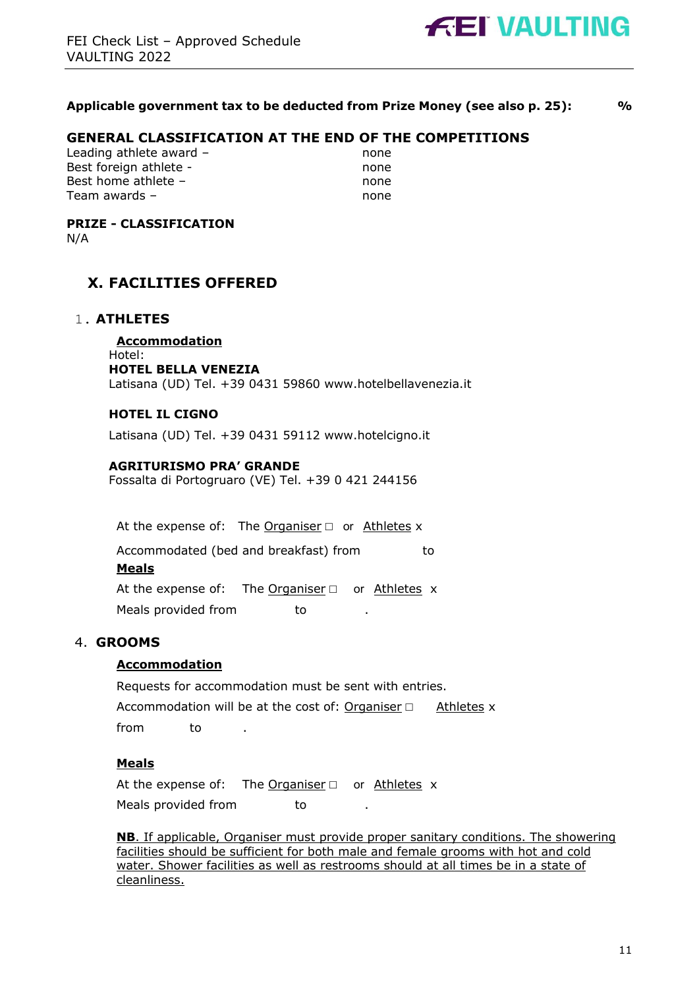

#### **Applicable government tax to be deducted from Prize Money (see also p. 25): %**

## **GENERAL CLASSIFICATION AT THE END OF THE COMPETITIONS**

Leading athlete award – none Best foreign athlete - none Best home athlete – none Team awards – none

# **PRIZE - CLASSIFICATION**

N/A

# **X. FACILITIES OFFERED**

#### 1. **ATHLETES**

**Accommodation**  Hotel: **HOTEL BELLA VENEZIA**  Latisana (UD) Tel. +39 0431 59860 www.hotelbellavenezia.it

#### **HOTEL IL CIGNO**

Latisana (UD) Tel. +39 0431 59112 www.hotelcigno.it

#### **AGRITURISMO PRA' GRANDE**

Fossalta di Portogruaro (VE) Tel. +39 0 421 244156

At the expense of: The Organiser  $\Box$  or Athletes x

Accommodated (bed and breakfast) from to

#### **Meals**

At the expense of: The Organiser  $□$  or Athletes x Meals provided from to

#### 4. **GROOMS**

#### **Accommodation**

Requests for accommodation must be sent with entries. Accommodation will be at the cost of: Organiser  $□$  Athletes x from to

#### **Meals**

At the expense of: The Organiser  $□$  or Athletes x Meals provided from to

**NB**. If applicable, Organiser must provide proper sanitary conditions. The showering facilities should be sufficient for both male and female grooms with hot and cold water. Shower facilities as well as restrooms should at all times be in a state of cleanliness.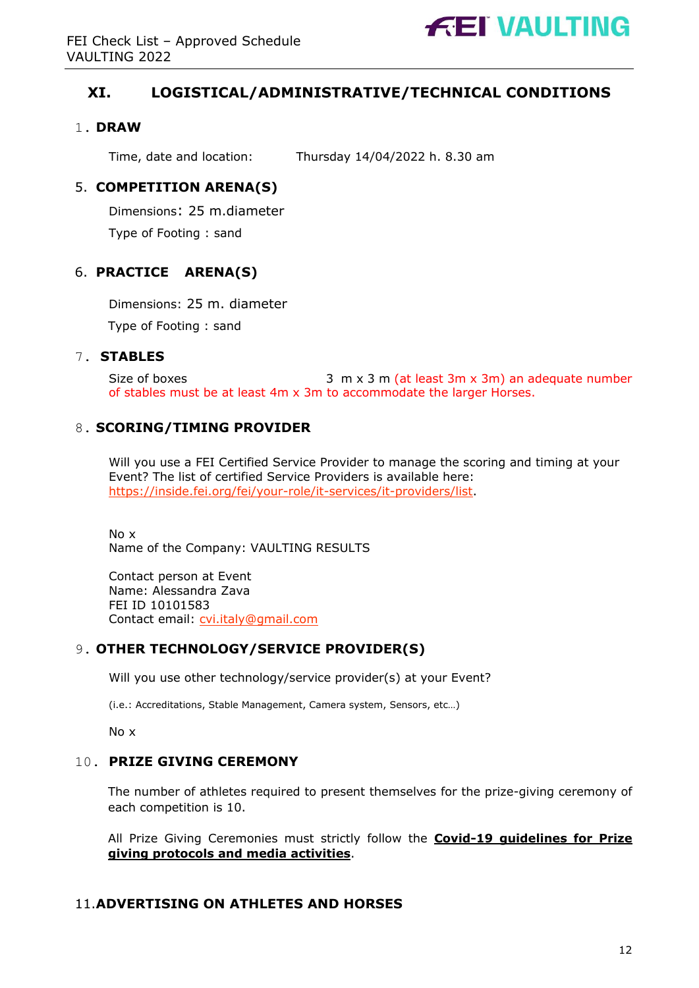

# **XI. LOGISTICAL/ADMINISTRATIVE/TECHNICAL CONDITIONS**

# 1. **DRAW**

Time, date and location: Thursday 14/04/2022 h. 8.30 am

# 5. **COMPETITION ARENA(S)**

Dimensions: 25 m.diameter

Type of Footing : sand

# 6. **PRACTICE ARENA(S)**

Dimensions: 25 m. diameter Type of Footing : sand

# 7. **STABLES**

Size of boxes 3 m x 3 m (at least 3m x 3m) an adequate number of stables must be at least 4m x 3m to accommodate the larger Horses.

# 8. **SCORING/TIMING PROVIDER**

Will you use a FEI Certified Service Provider to manage the scoring and timing at your Event? The list of certified Service Providers is available here: https://inside.fei.org/fei/your-role/it-services/it-providers/list.

No x Name of the Company: VAULTING RESULTS

Contact person at Event Name: Alessandra Zava FEI ID 10101583 Contact email: cvi.italy@gmail.com

## 9. **OTHER TECHNOLOGY/SERVICE PROVIDER(S)**

Will you use other technology/service provider(s) at your Event?

(i.e.: Accreditations, Stable Management, Camera system, Sensors, etc…)

No x

## 10. **PRIZE GIVING CEREMONY**

The number of athletes required to present themselves for the prize-giving ceremony of each competition is 10.

All Prize Giving Ceremonies must strictly follow the **Covid-19 guidelines for Prize giving protocols and media activities**.

## 11.**ADVERTISING ON ATHLETES AND HORSES**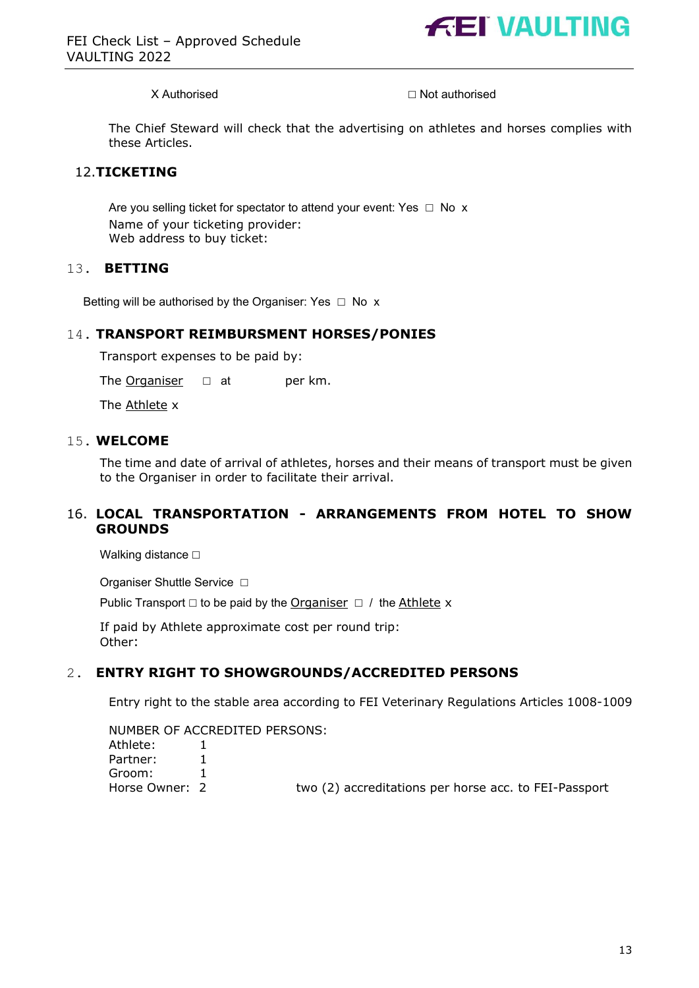

X Authorised ◯ Not authorised

The Chief Steward will check that the advertising on athletes and horses complies with these Articles.

#### 12.**TICKETING**

Are you selling ticket for spectator to attend your event: Yes  $\Box$  No x Name of your ticketing provider: Web address to buy ticket:

#### 13. **BETTING**

Betting will be authorised by the Organiser: Yes  $\Box$  No x

#### 14. **TRANSPORT REIMBURSMENT HORSES/PONIES**

Transport expenses to be paid by:

The Organiser  $□$  at per km.

The Athlete x

#### 15. **WELCOME**

The time and date of arrival of athletes, horses and their means of transport must be given to the Organiser in order to facilitate their arrival.

#### 16. **LOCAL TRANSPORTATION - ARRANGEMENTS FROM HOTEL TO SHOW GROUNDS**

Walking distance **□** 

Organiser Shuttle Service □

Public Transport  $□$  to be paid by the Organiser  $□$  / the Athlete x

If paid by Athlete approximate cost per round trip: Other:

#### 2. **ENTRY RIGHT TO SHOWGROUNDS/ACCREDITED PERSONS**

Entry right to the stable area according to FEI Veterinary Regulations Articles 1008-1009

NUMBER OF ACCREDITED PERSONS:

| Athlete:     | 1        |  |
|--------------|----------|--|
| Partner:     | 1        |  |
| Groom:       | 1        |  |
| Horse Owner: | <u>່</u> |  |

Horse Owner: 2 two (2) accreditations per horse acc. to FEI-Passport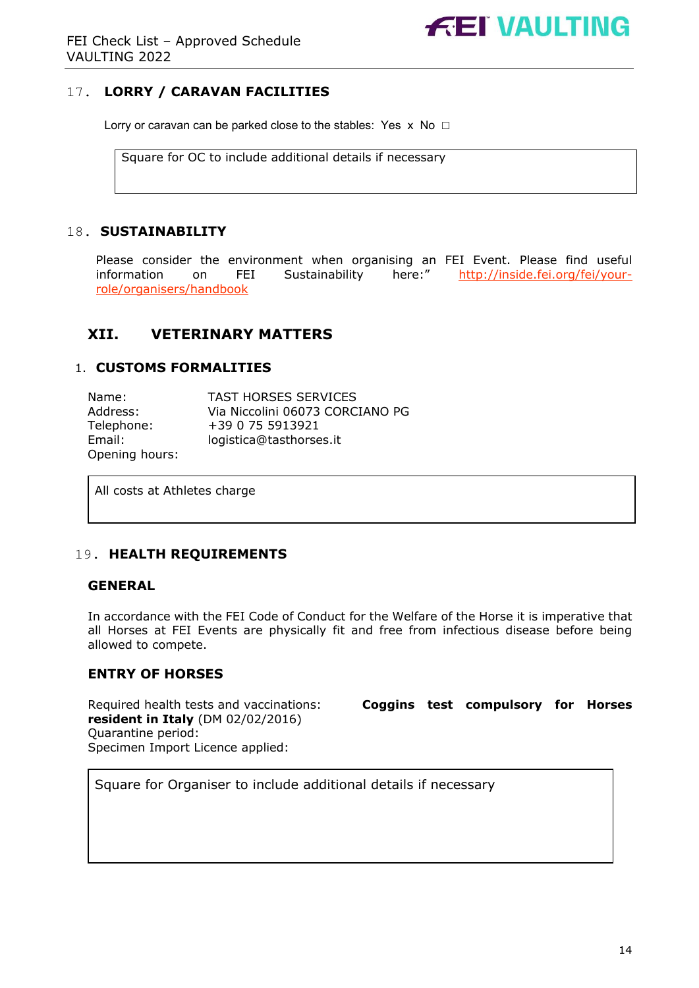# **FEI VAULTING**

# 17. **LORRY / CARAVAN FACILITIES**

Lorry or caravan can be parked close to the stables: Yes  $x \text{ No } \Box$ 

Square for OC to include additional details if necessary

#### 18. **SUSTAINABILITY**

Please consider the environment when organising an FEI Event. Please find useful information on FEI Sustainability here:" http://inside.fei.org/fei/yourrole/organisers/handbook

# **XII. VETERINARY MATTERS**

#### 1. **CUSTOMS FORMALITIES**

| Name:          | <b>TAST HORSES SERVICES</b>     |
|----------------|---------------------------------|
| Address:       | Via Niccolini 06073 CORCIANO PG |
| Telephone:     | +39 0 75 5913921                |
| Email:         | logistica@tasthorses.it         |
| Opening hours: |                                 |

All costs at Athletes charge

#### 19. **HEALTH REQUIREMENTS**

#### **GENERAL**

In accordance with the FEI Code of Conduct for the Welfare of the Horse it is imperative that all Horses at FEI Events are physically fit and free from infectious disease before being allowed to compete.

#### **ENTRY OF HORSES**

**resident in Italy** (DM 02/02/2016) Quarantine period: Specimen Import Licence applied:

Required health tests and vaccinations: **Coggins test compulsory for Horses** 

Square for Organiser to include additional details if necessary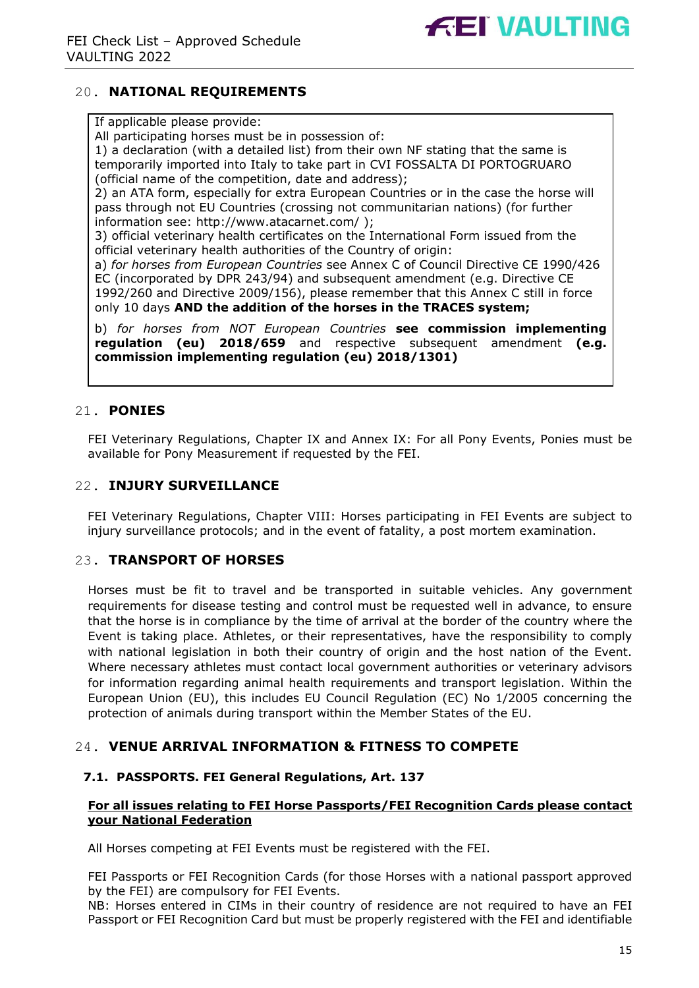

# 20. **NATIONAL REQUIREMENTS**

#### If applicable please provide:

All participating horses must be in possession of:

1) a declaration (with a detailed list) from their own NF stating that the same is temporarily imported into Italy to take part in CVI FOSSALTA DI PORTOGRUARO (official name of the competition, date and address);

2) an ATA form, especially for extra European Countries or in the case the horse will pass through not EU Countries (crossing not communitarian nations) (for further information see: http://www.atacarnet.com/ );

3) official veterinary health certificates on the International Form issued from the official veterinary health authorities of the Country of origin:

a) *for horses from European Countries* see Annex C of Council Directive CE 1990/426 EC (incorporated by DPR 243/94) and subsequent amendment (e.g. Directive CE 1992/260 and Directive 2009/156), please remember that this Annex C still in force only 10 days **AND the addition of the horses in the TRACES system;** 

b) *for horses from NOT European Countries* **see commission implementing regulation (eu) 2018/659** and respective subsequent amendment **(e.g. commission implementing regulation (eu) 2018/1301)**

# 21. **PONIES**

FEI Veterinary Regulations, Chapter IX and Annex IX: For all Pony Events, Ponies must be available for Pony Measurement if requested by the FEI.

#### 22. **INJURY SURVEILLANCE**

FEI Veterinary Regulations, Chapter VIII: Horses participating in FEI Events are subject to injury surveillance protocols; and in the event of fatality, a post mortem examination.

#### 23. **TRANSPORT OF HORSES**

Horses must be fit to travel and be transported in suitable vehicles. Any government requirements for disease testing and control must be requested well in advance, to ensure that the horse is in compliance by the time of arrival at the border of the country where the Event is taking place. Athletes, or their representatives, have the responsibility to comply with national legislation in both their country of origin and the host nation of the Event. Where necessary athletes must contact local government authorities or veterinary advisors for information regarding animal health requirements and transport legislation. Within the European Union (EU), this includes EU Council Regulation (EC) No 1/2005 concerning the protection of animals during transport within the Member States of the EU.

## 24. **VENUE ARRIVAL INFORMATION & FITNESS TO COMPETE**

#### **7.1. PASSPORTS. FEI General Regulations, Art. 137**

#### **For all issues relating to FEI Horse Passports/FEI Recognition Cards please contact your National Federation**

All Horses competing at FEI Events must be registered with the FEI.

FEI Passports or FEI Recognition Cards (for those Horses with a national passport approved by the FEI) are compulsory for FEI Events.

NB: Horses entered in CIMs in their country of residence are not required to have an FEI Passport or FEI Recognition Card but must be properly registered with the FEI and identifiable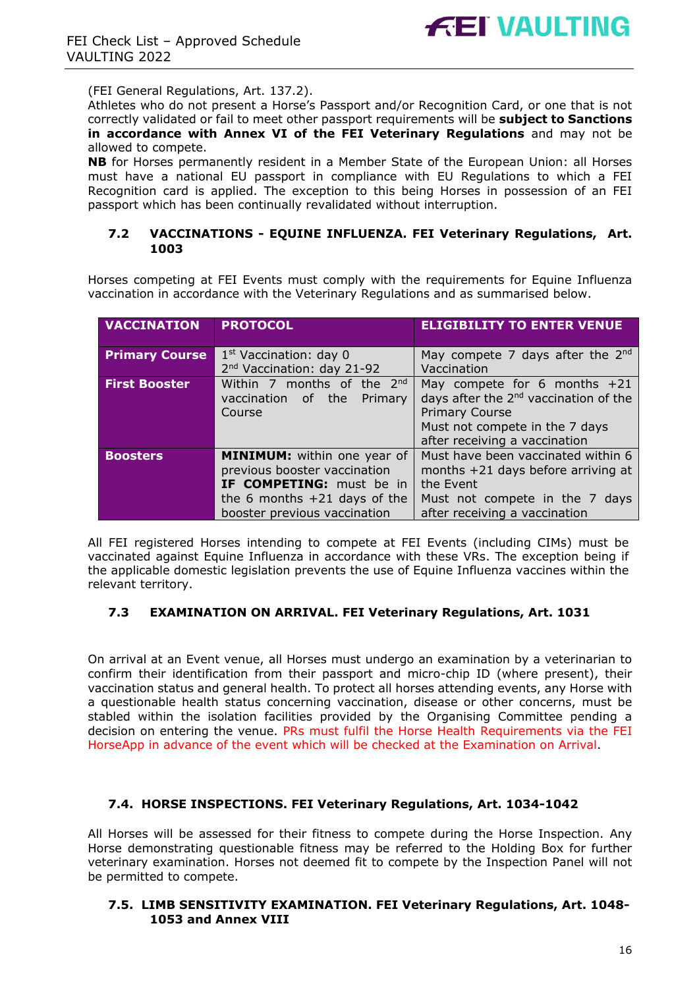(FEI General Regulations, Art. 137.2).

Athletes who do not present a Horse's Passport and/or Recognition Card, or one that is not correctly validated or fail to meet other passport requirements will be **subject to Sanctions in accordance with Annex VI of the FEI Veterinary Regulations** and may not be allowed to compete.

**NB** for Horses permanently resident in a Member State of the European Union: all Horses must have a national EU passport in compliance with EU Regulations to which a FEI Recognition card is applied. The exception to this being Horses in possession of an FEI passport which has been continually revalidated without interruption.

#### **7.2 VACCINATIONS - EQUINE INFLUENZA. FEI Veterinary Regulations, Art. 1003**

Horses competing at FEI Events must comply with the requirements for Equine Influenza vaccination in accordance with the Veterinary Regulations and as summarised below.

| <b>VACCINATION</b>    | <b>PROTOCOL</b>                                                                                                                                                                                                                                       | <b>ELIGIBILITY TO ENTER VENUE</b>                                                                                                                          |
|-----------------------|-------------------------------------------------------------------------------------------------------------------------------------------------------------------------------------------------------------------------------------------------------|------------------------------------------------------------------------------------------------------------------------------------------------------------|
| <b>Primary Course</b> | 1 <sup>st</sup> Vaccination: day 0<br>May compete 7 days after the $2nd$<br>2 <sup>nd</sup> Vaccination: day 21-92<br>Vaccination                                                                                                                     |                                                                                                                                                            |
| <b>First Booster</b>  | Within 7 months of the 2nd<br>May compete for 6 months $+21$<br>days after the 2 <sup>nd</sup> vaccination of the<br>vaccination of the Primary<br><b>Primary Course</b><br>Course<br>Must not compete in the 7 days<br>after receiving a vaccination |                                                                                                                                                            |
| <b>Boosters</b>       | MINIMUM: within one year of<br>previous booster vaccination<br>IF COMPETING: must be in<br>the 6 months $+21$ days of the<br>booster previous vaccination                                                                                             | Must have been vaccinated within 6<br>months $+21$ days before arriving at<br>the Event<br>Must not compete in the 7 days<br>after receiving a vaccination |

All FEI registered Horses intending to compete at FEI Events (including CIMs) must be vaccinated against Equine Influenza in accordance with these VRs. The exception being if the applicable domestic legislation prevents the use of Equine Influenza vaccines within the relevant territory.

#### **7.3 EXAMINATION ON ARRIVAL. FEI Veterinary Regulations, Art. 1031**

On arrival at an Event venue, all Horses must undergo an examination by a veterinarian to confirm their identification from their passport and micro-chip ID (where present), their vaccination status and general health. To protect all horses attending events, any Horse with a questionable health status concerning vaccination, disease or other concerns, must be stabled within the isolation facilities provided by the Organising Committee pending a decision on entering the venue. PRs must fulfil the Horse Health Requirements via the FEI HorseApp in advance of the event which will be checked at the Examination on Arrival.

#### **7.4. HORSE INSPECTIONS. FEI Veterinary Regulations, Art. 1034-1042**

All Horses will be assessed for their fitness to compete during the Horse Inspection. Any Horse demonstrating questionable fitness may be referred to the Holding Box for further veterinary examination. Horses not deemed fit to compete by the Inspection Panel will not be permitted to compete.

#### **7.5. LIMB SENSITIVITY EXAMINATION. FEI Veterinary Regulations, Art. 1048- 1053 and Annex VIII**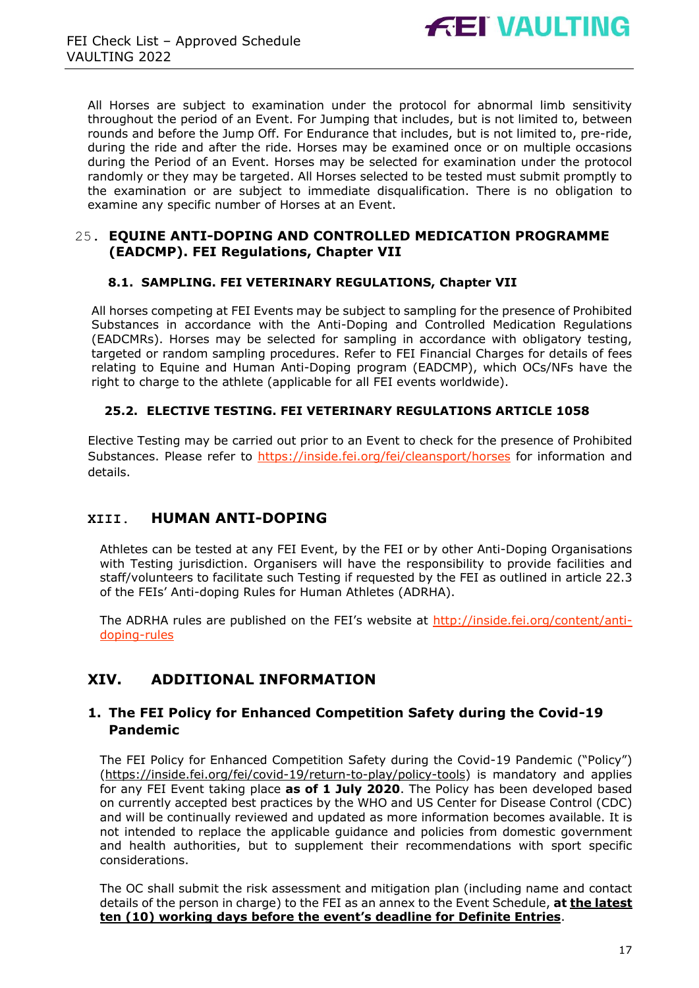

All Horses are subject to examination under the protocol for abnormal limb sensitivity throughout the period of an Event. For Jumping that includes, but is not limited to, between rounds and before the Jump Off. For Endurance that includes, but is not limited to, pre-ride, during the ride and after the ride. Horses may be examined once or on multiple occasions during the Period of an Event. Horses may be selected for examination under the protocol randomly or they may be targeted. All Horses selected to be tested must submit promptly to the examination or are subject to immediate disqualification. There is no obligation to examine any specific number of Horses at an Event.

#### 25. **EQUINE ANTI-DOPING AND CONTROLLED MEDICATION PROGRAMME (EADCMP). FEI Regulations, Chapter VII**

#### **8.1. SAMPLING. FEI VETERINARY REGULATIONS, Chapter VII**

All horses competing at FEI Events may be subject to sampling for the presence of Prohibited Substances in accordance with the Anti-Doping and Controlled Medication Regulations (EADCMRs). Horses may be selected for sampling in accordance with obligatory testing, targeted or random sampling procedures. Refer to FEI Financial Charges for details of fees relating to Equine and Human Anti-Doping program (EADCMP), which OCs/NFs have the right to charge to the athlete (applicable for all FEI events worldwide).

#### **25.2. ELECTIVE TESTING. FEI VETERINARY REGULATIONS ARTICLE 1058**

Elective Testing may be carried out prior to an Event to check for the presence of Prohibited Substances. Please refer to https://inside.fei.org/fei/cleansport/horses for information and details.

# **XIII. HUMAN ANTI-DOPING**

Athletes can be tested at any FEI Event, by the FEI or by other Anti-Doping Organisations with Testing jurisdiction. Organisers will have the responsibility to provide facilities and staff/volunteers to facilitate such Testing if requested by the FEI as outlined in article 22.3 of the FEIs' Anti-doping Rules for Human Athletes (ADRHA).

The ADRHA rules are published on the FEI's website at http://inside.fei.org/content/antidoping-rules

# **XIV. ADDITIONAL INFORMATION**

## **1. The FEI Policy for Enhanced Competition Safety during the Covid-19 Pandemic**

The FEI Policy for Enhanced Competition Safety during the Covid-19 Pandemic ("Policy") (https://inside.fei.org/fei/covid-19/return-to-play/policy-tools) is mandatory and applies for any FEI Event taking place **as of 1 July 2020**. The Policy has been developed based on currently accepted best practices by the WHO and US Center for Disease Control (CDC) and will be continually reviewed and updated as more information becomes available. It is not intended to replace the applicable guidance and policies from domestic government and health authorities, but to supplement their recommendations with sport specific considerations.

The OC shall submit the risk assessment and mitigation plan (including name and contact details of the person in charge) to the FEI as an annex to the Event Schedule, **at the latest ten (10) working days before the event's deadline for Definite Entries**.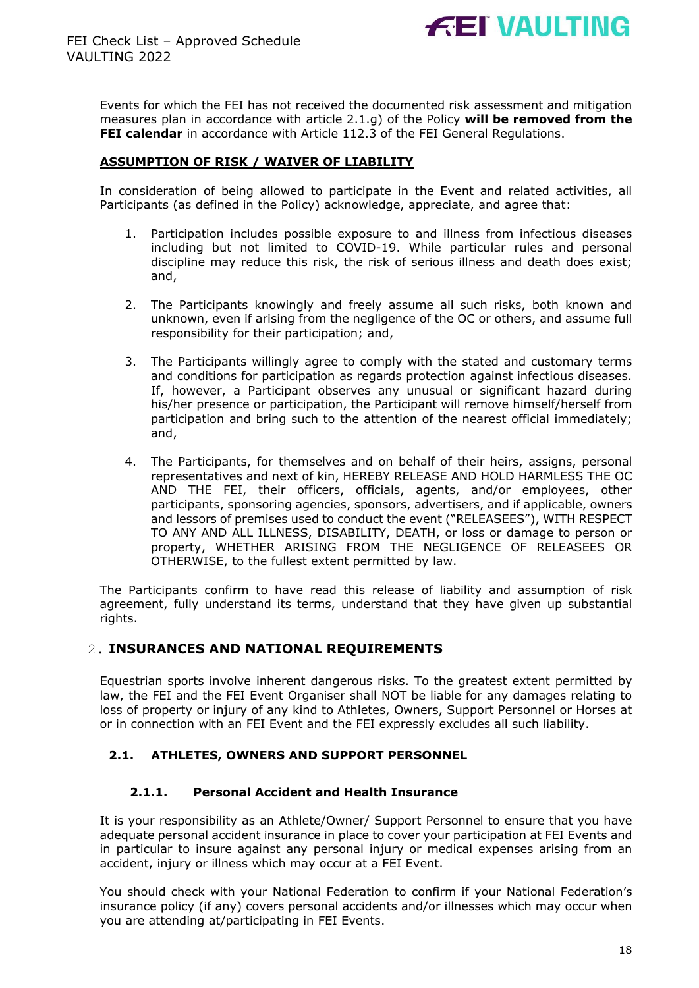Events for which the FEI has not received the documented risk assessment and mitigation measures plan in accordance with article 2.1.g) of the Policy **will be removed from the FEI calendar** in accordance with Article 112.3 of the FEI General Regulations.

#### **ASSUMPTION OF RISK / WAIVER OF LIABILITY**

In consideration of being allowed to participate in the Event and related activities, all Participants (as defined in the Policy) acknowledge, appreciate, and agree that:

- 1. Participation includes possible exposure to and illness from infectious diseases including but not limited to COVID-19. While particular rules and personal discipline may reduce this risk, the risk of serious illness and death does exist; and,
- 2. The Participants knowingly and freely assume all such risks, both known and unknown, even if arising from the negligence of the OC or others, and assume full responsibility for their participation; and,
- 3. The Participants willingly agree to comply with the stated and customary terms and conditions for participation as regards protection against infectious diseases. If, however, a Participant observes any unusual or significant hazard during his/her presence or participation, the Participant will remove himself/herself from participation and bring such to the attention of the nearest official immediately; and,
- 4. The Participants, for themselves and on behalf of their heirs, assigns, personal representatives and next of kin, HEREBY RELEASE AND HOLD HARMLESS THE OC AND THE FEI, their officers, officials, agents, and/or employees, other participants, sponsoring agencies, sponsors, advertisers, and if applicable, owners and lessors of premises used to conduct the event ("RELEASEES"), WITH RESPECT TO ANY AND ALL ILLNESS, DISABILITY, DEATH, or loss or damage to person or property, WHETHER ARISING FROM THE NEGLIGENCE OF RELEASEES OR OTHERWISE, to the fullest extent permitted by law.

The Participants confirm to have read this release of liability and assumption of risk agreement, fully understand its terms, understand that they have given up substantial rights.

#### 2. **INSURANCES AND NATIONAL REQUIREMENTS**

Equestrian sports involve inherent dangerous risks. To the greatest extent permitted by law, the FEI and the FEI Event Organiser shall NOT be liable for any damages relating to loss of property or injury of any kind to Athletes, Owners, Support Personnel or Horses at or in connection with an FEI Event and the FEI expressly excludes all such liability.

#### **2.1. ATHLETES, OWNERS AND SUPPORT PERSONNEL**

#### **2.1.1. Personal Accident and Health Insurance**

It is your responsibility as an Athlete/Owner/ Support Personnel to ensure that you have adequate personal accident insurance in place to cover your participation at FEI Events and in particular to insure against any personal injury or medical expenses arising from an accident, injury or illness which may occur at a FEI Event.

You should check with your National Federation to confirm if your National Federation's insurance policy (if any) covers personal accidents and/or illnesses which may occur when you are attending at/participating in FEI Events.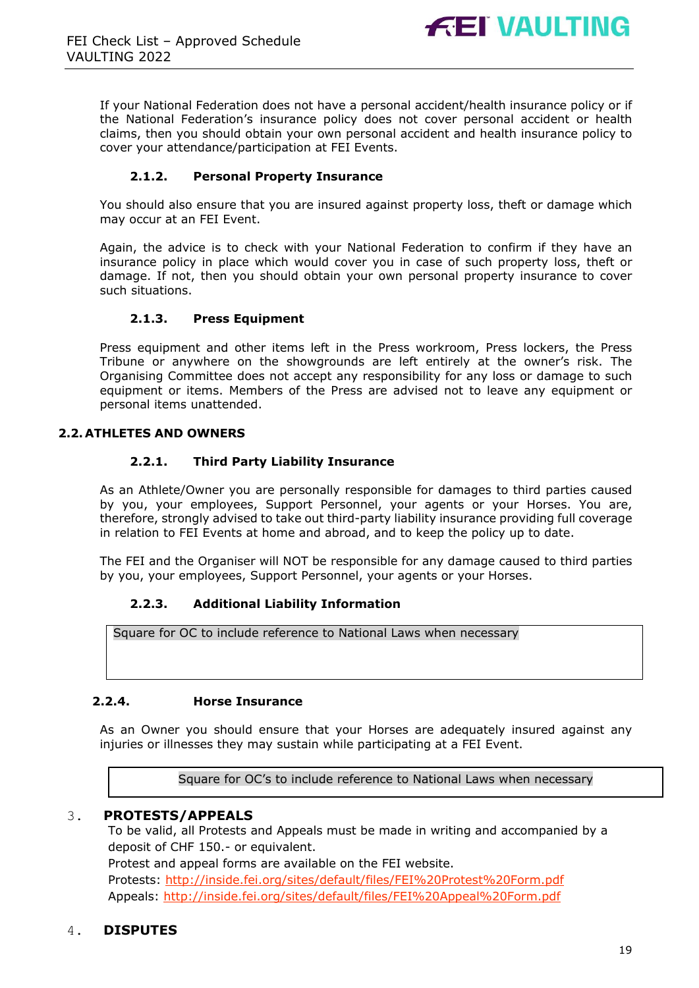

If your National Federation does not have a personal accident/health insurance policy or if the National Federation's insurance policy does not cover personal accident or health claims, then you should obtain your own personal accident and health insurance policy to cover your attendance/participation at FEI Events.

#### **2.1.2. Personal Property Insurance**

You should also ensure that you are insured against property loss, theft or damage which may occur at an FEI Event.

Again, the advice is to check with your National Federation to confirm if they have an insurance policy in place which would cover you in case of such property loss, theft or damage. If not, then you should obtain your own personal property insurance to cover such situations.

#### **2.1.3. Press Equipment**

Press equipment and other items left in the Press workroom, Press lockers, the Press Tribune or anywhere on the showgrounds are left entirely at the owner's risk. The Organising Committee does not accept any responsibility for any loss or damage to such equipment or items. Members of the Press are advised not to leave any equipment or personal items unattended.

#### **2.2. ATHLETES AND OWNERS**

#### **2.2.1. Third Party Liability Insurance**

As an Athlete/Owner you are personally responsible for damages to third parties caused by you, your employees, Support Personnel, your agents or your Horses. You are, therefore, strongly advised to take out third-party liability insurance providing full coverage in relation to FEI Events at home and abroad, and to keep the policy up to date.

The FEI and the Organiser will NOT be responsible for any damage caused to third parties by you, your employees, Support Personnel, your agents or your Horses.

#### **2.2.3. Additional Liability Information**

Square for OC to include reference to National Laws when necessary

#### **2.2.4. Horse Insurance**

As an Owner you should ensure that your Horses are adequately insured against any injuries or illnesses they may sustain while participating at a FEI Event.

Square for OC's to include reference to National Laws when necessary

#### 3. **PROTESTS/APPEALS**

To be valid, all Protests and Appeals must be made in writing and accompanied by a deposit of CHF 150.- or equivalent. Protest and appeal forms are available on the FEI website. Protests: http://inside.fei.org/sites/default/files/FEI%20Protest%20Form.pdf Appeals: http://inside.fei.org/sites/default/files/FEI%20Appeal%20Form.pdf

#### 4. **DISPUTES**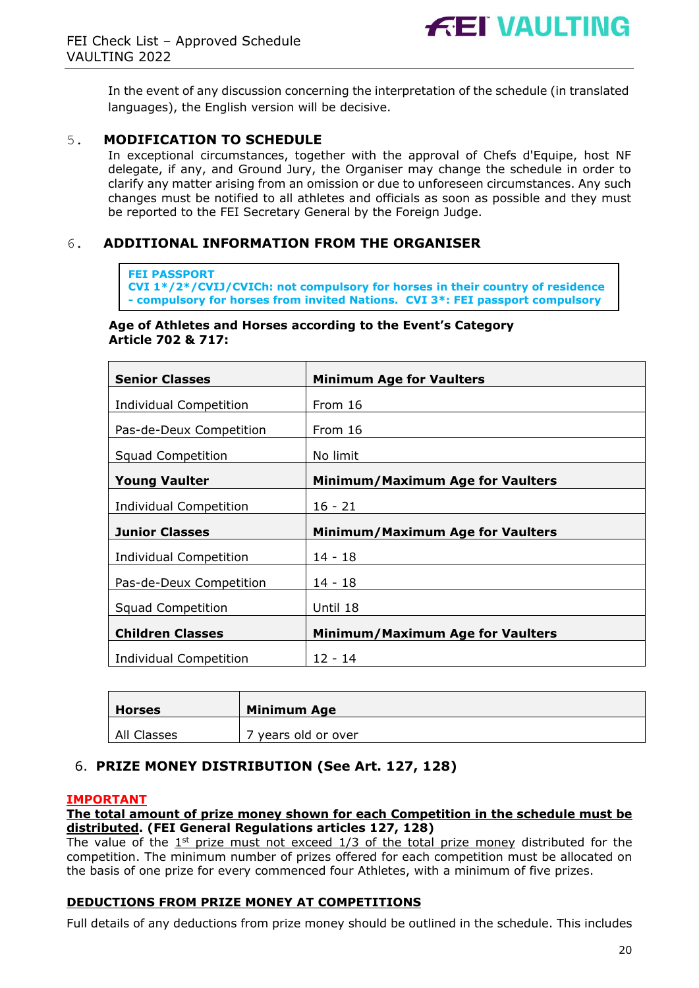

In the event of any discussion concerning the interpretation of the schedule (in translated languages), the English version will be decisive.

#### 5. **MODIFICATION TO SCHEDULE**

In exceptional circumstances, together with the approval of Chefs d'Equipe, host NF delegate, if any, and Ground Jury, the Organiser may change the schedule in order to clarify any matter arising from an omission or due to unforeseen circumstances. Any such changes must be notified to all athletes and officials as soon as possible and they must be reported to the FEI Secretary General by the Foreign Judge.

#### 6. **ADDITIONAL INFORMATION FROM THE ORGANISER**

#### **FEI PASSPORT**

**CVI 1\*/2\*/CVIJ/CVICh: not compulsory for horses in their country of residence - compulsory for horses from invited Nations. CVI 3\*: FEI passport compulsory**

#### **Age of Athletes and Horses according to the Event's Category Article 702 & 717:**

| <b>Senior Classes</b>         | <b>Minimum Age for Vaulters</b>         |  |
|-------------------------------|-----------------------------------------|--|
| <b>Individual Competition</b> | From 16                                 |  |
| Pas-de-Deux Competition       | From 16                                 |  |
| Squad Competition             | No limit                                |  |
| <b>Young Vaulter</b>          | <b>Minimum/Maximum Age for Vaulters</b> |  |
| <b>Individual Competition</b> | $16 - 21$                               |  |
| <b>Junior Classes</b>         | <b>Minimum/Maximum Age for Vaulters</b> |  |
| Individual Competition        | 14 - 18                                 |  |
| Pas-de-Deux Competition       | 14 - 18                                 |  |
| <b>Squad Competition</b>      | Until 18                                |  |
| <b>Children Classes</b>       | <b>Minimum/Maximum Age for Vaulters</b> |  |
| Individual Competition        | $12 - 14$                               |  |

| <b>Horses</b> | <b>Minimum Age</b> |
|---------------|--------------------|
| All Classes   | years old or over  |

## 6. **PRIZE MONEY DISTRIBUTION (See Art. 127, 128)**

#### **IMPORTANT**

#### **The total amount of prize money shown for each Competition in the schedule must be distributed. (FEI General Regulations articles 127, 128)**

The value of the  $1^{st}$  prize must not exceed  $1/3$  of the total prize money distributed for the competition. The minimum number of prizes offered for each competition must be allocated on the basis of one prize for every commenced four Athletes, with a minimum of five prizes.

#### **DEDUCTIONS FROM PRIZE MONEY AT COMPETITIONS**

Full details of any deductions from prize money should be outlined in the schedule. This includes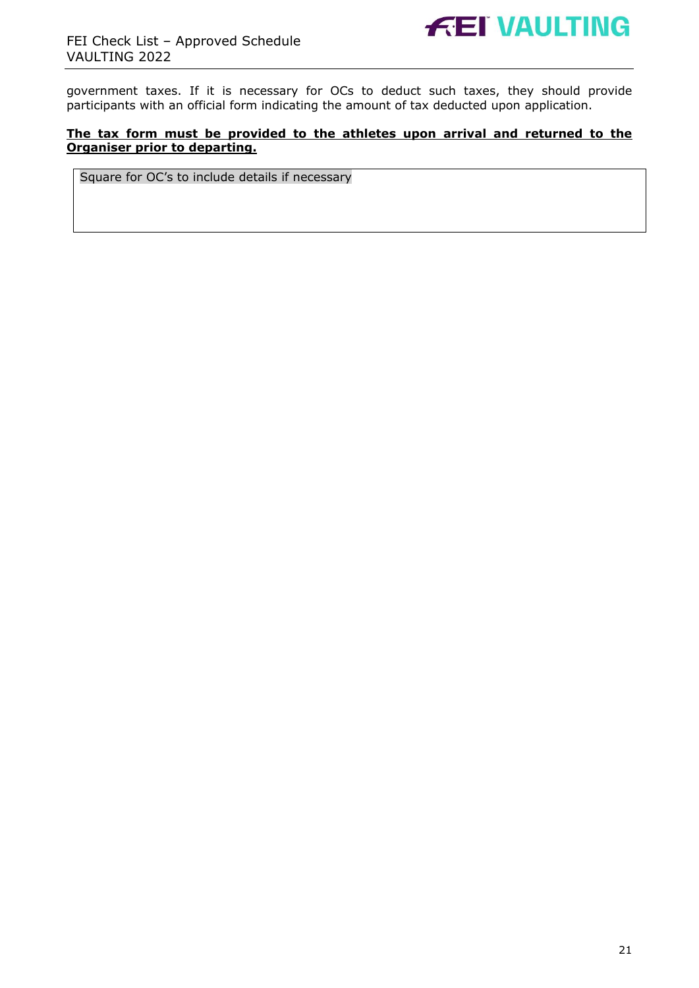

government taxes. If it is necessary for OCs to deduct such taxes, they should provide participants with an official form indicating the amount of tax deducted upon application.

#### **The tax form must be provided to the athletes upon arrival and returned to the Organiser prior to departing.**

Square for OC's to include details if necessary